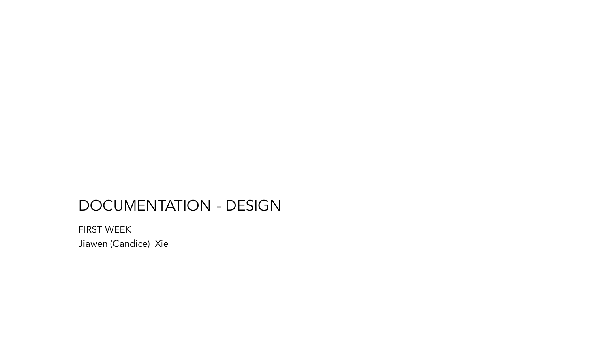## DOCUMENTATION - DESIGN

FIRST WEEK Jiawen (Candice) Xie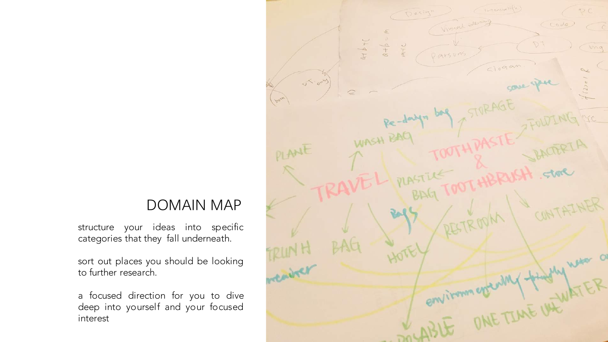#### DOMAIN MAP

structure your ideas into specific categories that they fall underneath.

sort out places you should be looking to further research.

a focused direction for you to dive deep into yourself and your focused interest

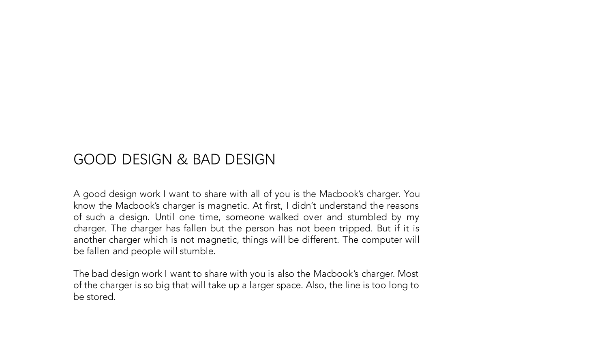### GOOD DESIGN & BAD DESIGN

A good design work I want to share with all of you is the Macbook's charger. You know the Macbook's charger is magnetic. At first, I didn't understand the reasons of such a design. Until one time, someone walked over and stumbled by my charger. The charger has fallen but the person has not been tripped. But if it is another charger which is not magnetic, things will be different. The computer will be fallen and people will stumble.

The bad design work I want to share with you is also the Macbook's charger. Most of the charger is so big that will take up a larger space. Also, the line is too long to be stored.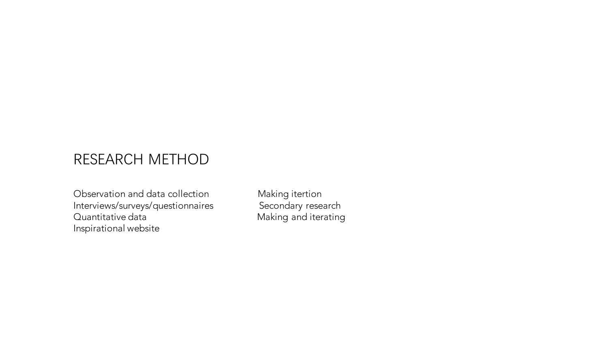## RESEARCH METHOD

Observation and data collection Making itertion<br>
Interviews/surveys/questionnaires Secondary research Interviews/surveys/questionnaires<br>Quantitative data Inspirational website

Making and iterating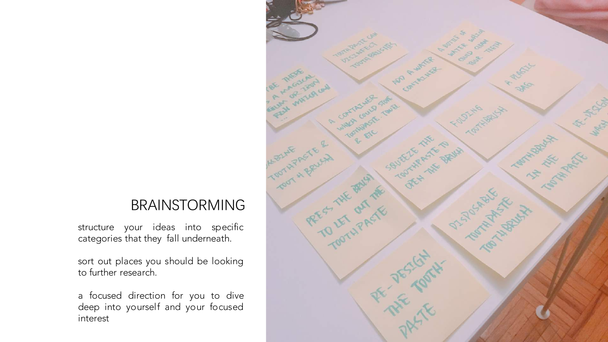#### BRAINSTORMING

structure your ideas into specific categories that they fall underneath.

sort out places you should be looking to further research.

a focused direction for you to dive deep into yourself and your focused interest

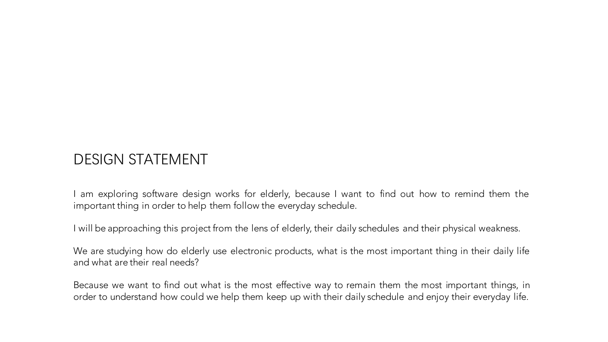## DESIGN STATEMENT

am exploring software design works for elderly, because I want to find out how to remind them the important thing in order to help them follow the everyday schedule.

I will be approaching this project from the lens of elderly, their daily schedules and their physical weakness.

We are studying how do elderly use electronic products, what is the most important thing in their daily life and what are their real needs?

Because we want to find out what is the most effective way to remain them the most important things, in order to understand how could we help them keep up with their daily schedule and enjoy their everyday life.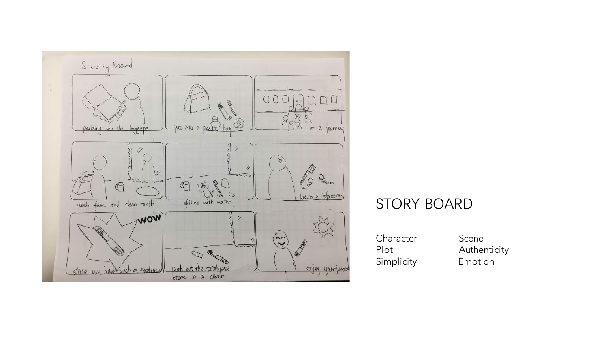

## STORY BOARD

Character Scene Simplicity Emotion

Plot Authenticity